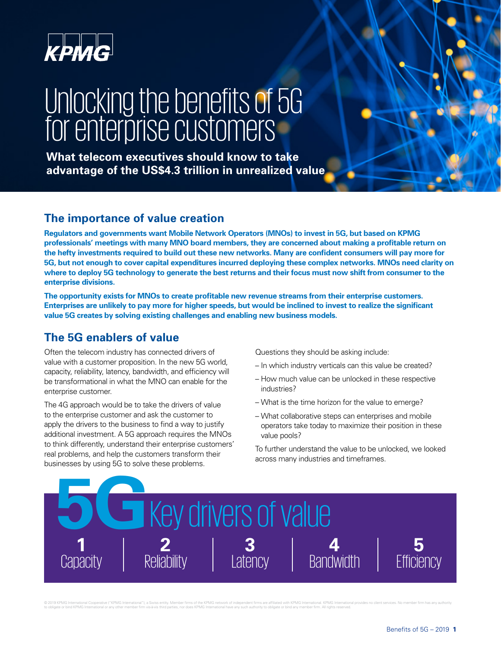

# Unlocking the benefits of 5G or room ry the borronto or r

**What telecom executives should know to take advantage of the US\$4.3 trillion in unrealized value** 

# **The importance of value creation**

**Regulators and governments want Mobile Network Operators (MNOs) to invest in 5G, but based on KPMG professionals' meetings with many MNO board members, they are concerned about making a proftable return on the hefty investments required to build out these new networks. Many are confdent consumers will pay more for 5G, but not enough to cover capital expenditures incurred deploying these complex networks. MNOs need clarity on where to deploy 5G technology to generate the best returns and their focus must now shift from consumer to the enterprise divisions.** 

**The opportunity exists for MNOs to create proftable new revenue streams from their enterprise customers. Enterprises are unlikely to pay more for higher speeds, but would be inclined to invest to realize the signifcant value 5G creates by solving existing challenges and enabling new business models.** 

# **The 5G enablers of value**

Often the telecom industry has connected drivers of value with a customer proposition. In the new 5G world, capacity, reliability, latency, bandwidth, and efficiency will be transformational in what the MNO can enable for the enterprise customer.

The 4G approach would be to take the drivers of value to the enterprise customer and ask the customer to apply the drivers to the business to find a way to justify additional investment. A 5G approach requires the MNOs to think differently, understand their enterprise customers' real problems, and help the customers transform their businesses by using 5G to solve these problems.

Questions they should be asking include:

- In which industry verticals can this value be created?
- How much value can be unlocked in these respective industries?
- What is the time horizon for the value to emerge?
- What collaborative steps can enterprises and mobile operators take today to maximize their position in these value pools?

To further understand the value to be unlocked, we looked across many industries and timeframes.



© 2019 KPMG International Cooperative ("KPMG International"), a Swiss entity. Member firms of the KPMG network of independent firms are affiliated with KPMG International. KPMG International provides no client services. No to obligate or bind KPMG International or any other member firm vis-à-vis third parties, nor does KPMG International have any such authority to obligate or bind any member firm. All rights reserved.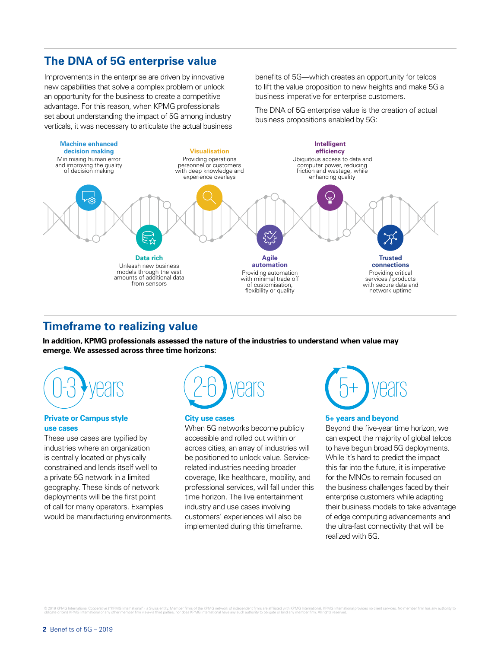# **The DNA of 5G enterprise value**

Improvements in the enterprise are driven by innovative new capabilities that solve a complex problem or unlock an opportunity for the business to create a competitive advantage. For this reason, when KPMG professionals set about understanding the impact of 5G among industry verticals, it was necessary to articulate the actual business benefits of 5G—which creates an opportunity for telcos to lift the value proposition to new heights and make 5G a business imperative for enterprise customers.

The DNA of 5G enterprise value is the creation of actual business propositions enabled by 5G:



## **Timeframe to realizing value**

**In addition, KPMG professionals assessed the nature of the industries to understand when value may emerge. We assessed across three time horizons:**



#### **Private or Campus style use cases**

These use cases are typified by industries where an organization is centrally located or physically constrained and lends itself well to a private 5G network in a limited geography. These kinds of network deployments will be the first point of call for many operators. Examples would be manufacturing environments.



#### **City use cases**

When 5G networks become publicly accessible and rolled out within or across cities, an array of industries will be positioned to unlock value. Servicerelated industries needing broader coverage, like healthcare, mobility, and professional services, will fall under this time horizon. The live entertainment industry and use cases involving customers' experiences will also be implemented during this timeframe.



#### **5+ years and beyond**

Beyond the five-year time horizon, we can expect the majority of global telcos to have begun broad 5G deployments. While it's hard to predict the impact this far into the future, it is imperative for the MNOs to remain focused on the business challenges faced by their enterprise customers while adapting their business models to take advantage of edge computing advancements and the ultra-fast connectivity that will be realized with 5G.

© 2019 KPMG International Cooperative ("KPMG International"), a Swiss entity. Member firms of the KPMG network of independent firms are affiliated with KPMG International provides no client services. No member firm with a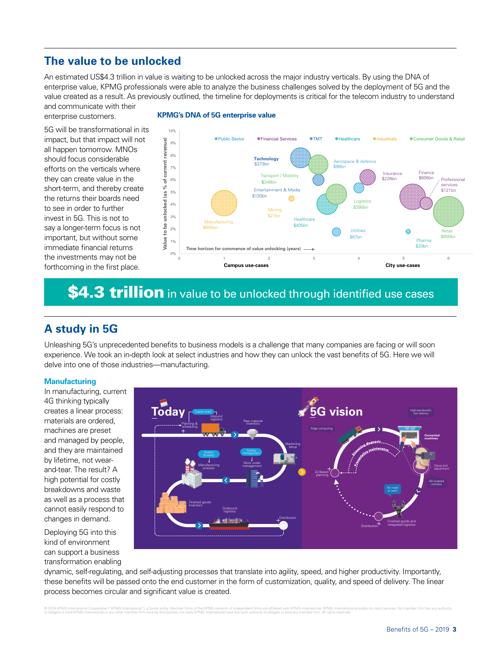# **The value to be unlocked**

An estimated US\$4.3 trillion in value is waiting to be unlocked across the major industry verticals. By using the DNA of enterprise value, KPMG professionals were able to analyze the business challenges solved by the deployment of 5G and the value created as a result. As previously outlined, the timeline for deployments is critical for the telecom industry to understand and communicate with their

enterprise customers.

5G will be transformational in its impact, but that impact will not all happen tomorrow. MNOs should focus considerable efforts on the verticals where they can create value in the short-term, and thereby create the returns their boards need to see in order to further invest in 5G. This is not to say a longer-term focus is not important, but without some immediate financial returns the investments may not be forthcoming in the first place.



## **KPMG's DNA of 5G enterprise value**

# \$4.3 trillion in value to be unlocked through identified use cases

# **A study in 5G**

Unleashing 5G's unprecedented benefts to business models is a challenge that many companies are facing or will soon experience. We took an in-depth look at select industries and how they can unlock the vast benefts of 5G. Here we will delve into one of those industries—manufacturing.

## **Manufacturing**

In manufacturing, current 4G thinking typically creates a linear process: materials are ordered, machines are preset and managed by people, and they are maintained by lifetime, not wearand-tear. The result? A high potential for costly breakdowns and waste as well as a process that cannot easily respond to changes in demand.

Deploying 5G into this kind of environment can support a business transformation enabling



dynamic, self-regulating, and self-adjusting processes that translate into agility, speed, and higher productivity. Importantly, these benefts will be passed onto the end customer in the form of customization, quality, and speed of delivery. The linear process becomes circular and significant value is created.

© 2019 KPMG International Cooperative ("KPMG International"), a Swiss entity. Member firms of the KPMG network of independent firms are affiliated with KPMG International. KPMG International provides no client services. No to obligate or bind KPMG International or any other member firm vis-à-vis third parties, nor does KPMG International have any such authority to obligate or bind any member firm. All rights reserved.